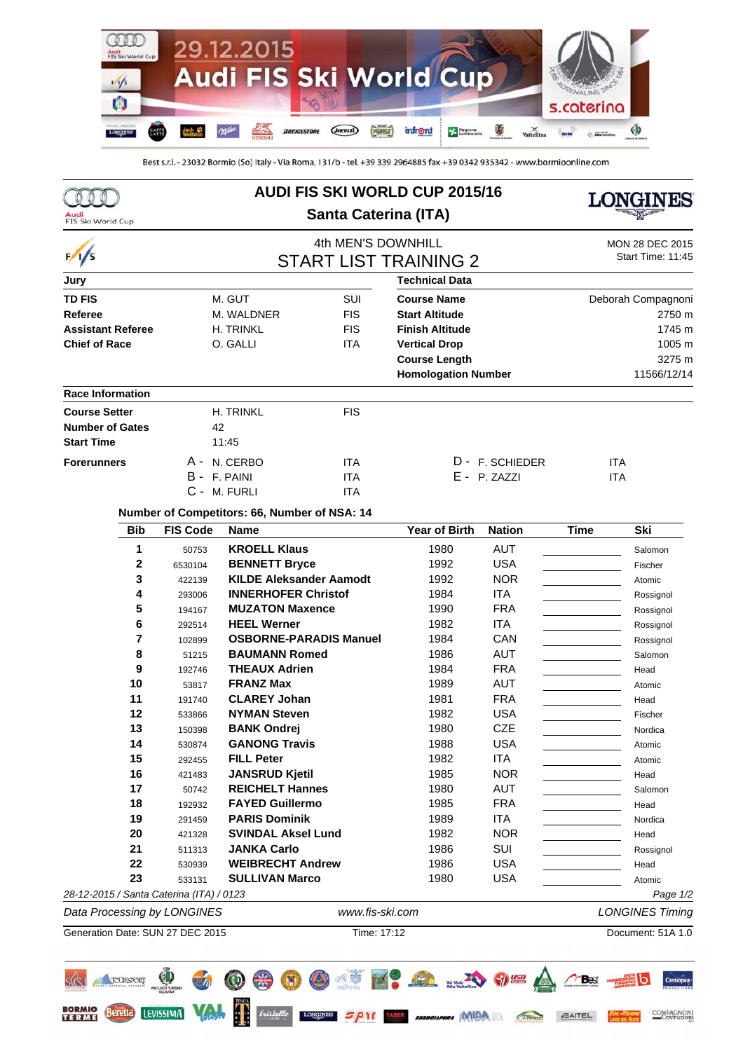

Best s.r.l. - 23032 Bormio (So) Italy - Via Roma, 131/b - tel. +39 339 2964885 fax +39 0342 935342 - www.bormioonline.com

| Audi<br>FIS Ski World Cup   | <b>AUDI FIS SKI WORLD CUP 2015/16</b><br><b>Santa Caterina (ITA)</b> |                                          |                                              |                    |                            | INES               |                                   |                        |  |
|-----------------------------|----------------------------------------------------------------------|------------------------------------------|----------------------------------------------|--------------------|----------------------------|--------------------|-----------------------------------|------------------------|--|
|                             |                                                                      |                                          |                                              | 4th MEN'S DOWNHILL |                            |                    |                                   | <b>MON 28 DEC 2015</b> |  |
| $\frac{1}{s}$               | <b>START LIST TRAINING 2</b>                                         |                                          |                                              |                    |                            |                    |                                   | Start Time: 11:45      |  |
| Jury                        |                                                                      |                                          |                                              |                    | <b>Technical Data</b>      |                    |                                   |                        |  |
| <b>TD FIS</b><br>M. GUT     |                                                                      |                                          |                                              | SUI                |                            | <b>Course Name</b> |                                   | Deborah Compagnoni     |  |
| <b>Referee</b>              |                                                                      | M. WALDNER                               |                                              | <b>FIS</b>         | <b>Start Altitude</b>      |                    | 2750 m                            |                        |  |
| <b>Assistant Referee</b>    |                                                                      |                                          | H. TRINKL                                    | <b>FIS</b>         | <b>Finish Altitude</b>     |                    | 1745 m                            |                        |  |
| <b>Chief of Race</b>        |                                                                      | O. GALLI                                 |                                              | <b>ITA</b>         | <b>Vertical Drop</b>       |                    | 1005 m                            |                        |  |
|                             |                                                                      |                                          |                                              |                    | <b>Course Length</b>       |                    |                                   | 3275 m                 |  |
| <b>Race Information</b>     |                                                                      |                                          |                                              |                    | <b>Homologation Number</b> |                    |                                   | 11566/12/14            |  |
| <b>Course Setter</b>        |                                                                      |                                          | H. TRINKL                                    | <b>FIS</b>         |                            |                    |                                   |                        |  |
| <b>Number of Gates</b>      |                                                                      |                                          | 42                                           |                    |                            |                    |                                   |                        |  |
| <b>Start Time</b>           |                                                                      |                                          | 11:45                                        |                    |                            |                    |                                   |                        |  |
| <b>Forerunners</b>          |                                                                      |                                          | A - N. CERBO                                 | <b>ITA</b>         |                            | D - F. SCHIEDER    |                                   | <b>ITA</b>             |  |
|                             |                                                                      |                                          | B - F. PAINI                                 | <b>ITA</b>         |                            | $E - P. ZAZZI$     |                                   | <b>ITA</b>             |  |
|                             |                                                                      |                                          | C - M. FURLI                                 | <b>ITA</b>         |                            |                    |                                   |                        |  |
|                             |                                                                      |                                          | Number of Competitors: 66, Number of NSA: 14 |                    |                            |                    |                                   |                        |  |
|                             | <b>Bib</b>                                                           | <b>FIS Code</b>                          | <b>Name</b>                                  |                    | <b>Year of Birth</b>       | <b>Nation</b>      | <b>Time</b>                       | Ski                    |  |
|                             | 1                                                                    | 50753                                    | <b>KROELL Klaus</b>                          |                    | 1980                       | <b>AUT</b>         |                                   | Salomon                |  |
|                             | 2                                                                    | 6530104                                  | <b>BENNETT Bryce</b>                         |                    | 1992                       | <b>USA</b>         |                                   | Fischer                |  |
|                             | 3                                                                    | 422139                                   | <b>KILDE Aleksander Aamodt</b>               |                    | 1992                       | <b>NOR</b>         |                                   | Atomic                 |  |
|                             | 4                                                                    | 293006                                   | <b>INNERHOFER Christof</b>                   |                    | 1984                       | <b>ITA</b>         |                                   | Rossignol              |  |
|                             | 5                                                                    | 194167                                   | <b>MUZATON Maxence</b>                       |                    | 1990                       | <b>FRA</b>         |                                   | Rossignol              |  |
|                             | 6                                                                    | 292514                                   | <b>HEEL Werner</b>                           |                    | 1982                       | <b>ITA</b>         |                                   | Rossignol              |  |
|                             | 7                                                                    | 102899                                   | <b>OSBORNE-PARADIS Manuel</b>                |                    | 1984                       | CAN                |                                   | Rossignol              |  |
|                             | 8                                                                    | 51215                                    | <b>BAUMANN Romed</b>                         |                    | 1986                       | <b>AUT</b>         | and the control of the control of | Salomon                |  |
|                             | 9                                                                    | 192746                                   | <b>THEAUX Adrien</b>                         |                    | 1984                       | <b>FRA</b>         | the control of the control of the | Head                   |  |
|                             | 10                                                                   | 53817                                    | <b>FRANZ Max</b>                             |                    | 1989                       | <b>AUT</b>         |                                   | Atomic                 |  |
|                             | 11                                                                   | 191740                                   | <b>CLAREY Johan</b>                          |                    | 1981                       | <b>FRA</b>         |                                   | Head                   |  |
|                             | 12                                                                   | 533866                                   | <b>NYMAN Steven</b>                          |                    | 1982                       | <b>USA</b>         |                                   | Fischer                |  |
|                             | 13                                                                   | 150398                                   | <b>BANK Ondrej</b>                           |                    | 1980                       | <b>CZE</b>         |                                   | Nordica                |  |
|                             | 14<br>15                                                             | 530874                                   | GANONG Travis<br><b>FILL Peter</b>           |                    | 1988<br>1982               | USA<br><b>ITA</b>  |                                   | Atomic                 |  |
|                             | 16                                                                   | 292455<br>421483                         | <b>JANSRUD Kjetil</b>                        |                    | 1985                       | <b>NOR</b>         |                                   | Atomic<br>Head         |  |
|                             | 17                                                                   | 50742                                    | <b>REICHELT Hannes</b>                       |                    | 1980                       | <b>AUT</b>         |                                   | Salomon                |  |
|                             | 18                                                                   | 192932                                   | <b>FAYED Guillermo</b>                       |                    | 1985                       | <b>FRA</b>         |                                   | Head                   |  |
|                             | 19                                                                   | 291459                                   | <b>PARIS Dominik</b>                         |                    | 1989                       | <b>ITA</b>         |                                   | Nordica                |  |
|                             | 20                                                                   | 421328                                   | <b>SVINDAL Aksel Lund</b>                    |                    | 1982                       | <b>NOR</b>         |                                   | Head                   |  |
|                             | 21                                                                   | 511313                                   | <b>JANKA Carlo</b>                           |                    | 1986                       | SUI                |                                   | Rossignol              |  |
|                             | 22                                                                   | 530939                                   | <b>WEIBRECHT Andrew</b>                      |                    | 1986                       | <b>USA</b>         |                                   | Head                   |  |
|                             | 23                                                                   | 533131                                   | <b>SULLIVAN Marco</b>                        |                    | 1980                       | <b>USA</b>         |                                   | Atomic                 |  |
|                             |                                                                      | 28-12-2015 / Santa Caterina (ITA) / 0123 |                                              |                    |                            |                    |                                   | Page 1/2               |  |
| Data Processing by LONGINES |                                                                      |                                          |                                              |                    | www.fis-ski.com            |                    |                                   | <b>LONGINES Timing</b> |  |
|                             |                                                                      | Generation Date: SUN 27 DEC 2015         |                                              | Time: 17:12        |                            |                    |                                   | Document: 51A 1.0      |  |
|                             | TOURISPORT                                                           |                                          |                                              |                    |                            | SUCH STREET        |                                   | Cassiopea              |  |